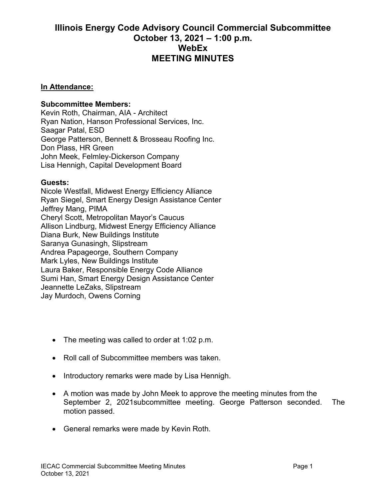## **Illinois Energy Code Advisory Council Commercial Subcommittee October 13, 2021 – 1:00 p.m. WebEx MEETING MINUTES**

## **In Attendance:**

## **Subcommittee Members:**

Kevin Roth, Chairman, AIA - Architect Ryan Nation, Hanson Professional Services, Inc. Saagar Patal, ESD George Patterson, Bennett & Brosseau Roofing Inc. Don Plass, HR Green John Meek, Felmley-Dickerson Company Lisa Hennigh, Capital Development Board

## **Guests:**

Nicole Westfall, Midwest Energy Efficiency Alliance Ryan Siegel, Smart Energy Design Assistance Center Jeffrey Mang, PIMA Cheryl Scott, Metropolitan Mayor's Caucus Allison Lindburg, Midwest Energy Efficiency Alliance Diana Burk, New Buildings Institute Saranya Gunasingh, Slipstream Andrea Papageorge, Southern Company Mark Lyles, New Buildings Institute Laura Baker, Responsible Energy Code Alliance Sumi Han, Smart Energy Design Assistance Center Jeannette LeZaks, Slipstream Jay Murdoch, Owens Corning

- The meeting was called to order at 1:02 p.m.
- Roll call of Subcommittee members was taken.
- Introductory remarks were made by Lisa Hennigh.
- A motion was made by John Meek to approve the meeting minutes from the September 2, 2021subcommittee meeting. George Patterson seconded. The motion passed.
- General remarks were made by Kevin Roth.